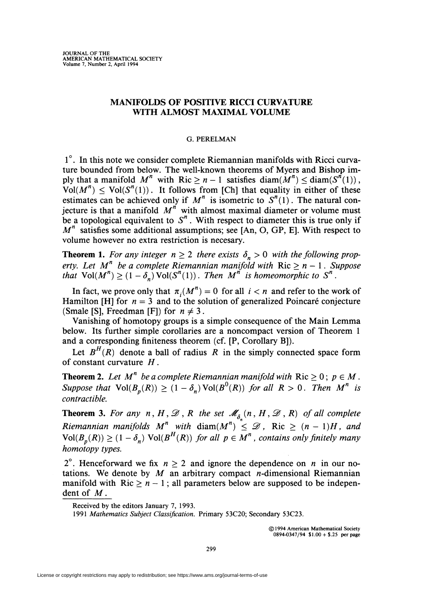# MANIFOLDS OF POSITIVE RICCI CURVATURE WITH ALMOST MAXIMAL VOLUME

### G. PERELMAN

1°. In this note we consider complete Riemannian manifolds with Ricci curvature bounded from below. The well-known theorems of Myers and Bishop imply that a manifold  $M^n$  with Ric  $\geq n-1$  satisfies diam( $M^n$ )  $\leq$  diam( $S^{n}(1)$ ),  $Vol(M^n) \leq Vol(S^n(1))$ . It follows from [Ch] that equality in either of these estimates can be achieved only if  $M^n$  is isometric to  $S^n(1)$ . The natural conjecture is that a manifold  $M<sup>n</sup>$  with almost maximal diameter or volume must be a topological equivalent to  $S<sup>n</sup>$ . With respect to diameter this is true only if  $M<sup>n</sup>$  satisfies some additional assumptions; see [An, O, GP, E]. With respect to volume however no extra restriction is necesary.

**Theorem 1.** For any integer  $n \geq 2$  there exists  $\delta_n > 0$  with the following prop*erty. Let*  $M^n$  *be a complete Riemannian manifold with* **Ric**  $\geq n - 1$ *. Suppose that*  $\text{Vol}(M^n) \geq (1 - \delta_n) \text{Vol}(S^n(1))$ . *Then*  $M^n$  *is homeomorphic to*  $S^n$ .

In fact, we prove only that  $\pi_i(M^n) = 0$  for all  $i < n$  and refer to the work of Hamilton [H] for  $n = 3$  and to the solution of generalized Poincaré conjecture (Smale [S], Freedman [F]) for  $n \neq 3$ .

Vanishing of homotopy groups is a simple consequence of the Main Lemma below. Its further simple corollaries are a noncompact version of Theorem 1 and a corresponding finiteness theorem (cf. [P, Corollary B]).

Let  $B^H(R)$  denote a ball of radius R in the simply connected space form of constant curvature *H.* 

**Theorem 2.** Let  $M^n$  be a complete Riemannian manifold with  $Ric \geq 0$ ;  $p \in M$ . *Suppose that*  $Vol(B_p(R)) \ge (1 - \delta_n) Vol(B^0(R))$  *for all R > 0. Then*  $M^n$  *is contractible.* 

**Theorem 3.** For any  $n, H, \mathcal{D}, R$  the set  $\mathcal{M}_{\delta_n}(n, H, \mathcal{D}, R)$  of all complete *Riemannian manifolds M<sup>n</sup>* with  $\text{diam}(M^n) \leq \mathcal{D}$ , Ric  $\geq (n-1)H$ , and  $\text{Vol}(B_n(R)) \geq (1 - \delta_n) \text{ Vol}(B^H(R))$  for all  $p \in M^n$ , contains only finitely many *homotopy types.* 

2<sup>o</sup>. Henceforward we fix  $n \ge 2$  and ignore the dependence on *n* in our notations. We denote by  $M$  an arbitrary compact *n*-dimensional Riemannian manifold with  $\text{Ric} > n - 1$ ; all parameters below are supposed to be independent of *M.* 

*1991 Mathematics Subject Classification.* Primary 53C20; Secondary 53C23.

@ 1994 American Mathematical Society  $0894-0347/94$  \$1.00 + \$.25 per page

Received by the editors January 7, 1993.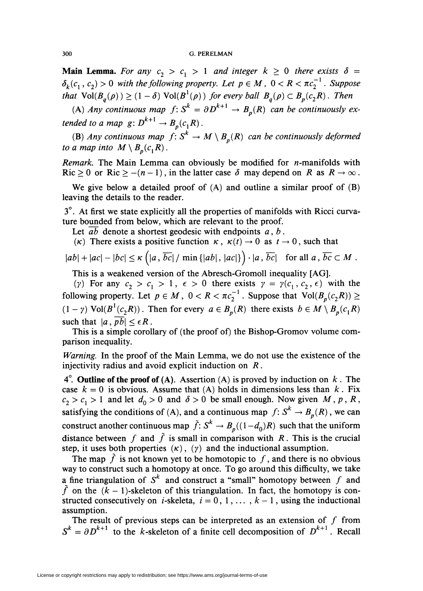#### 300 G.PERELMAN

**Main Lemma.** For any  $c_2 > c_1 > 1$  and integer  $k \ge 0$  there exists  $\delta =$  $\delta_k(c_1, c_2) > 0$  *with the following property. Let*  $p \in M$ ,  $0 < R < \pi c_2^{-1}$ . *Suppose that*  $Vol(B_q(\rho)) \geq (1 - \delta)$   $Vol(B^1(\rho))$  *for every ball*  $B_q(\rho) \subset B_p(c_2R)$ . Then

(A) *Any continuous map*  $f: S^k = \partial D^{k+1} \to B_p(R)$  can be continuously ex*tended to a map g:*  $D^{k+1} \rightarrow B_p(c_1R)$ .

(B) *Any continuous map*  $f: S^k \to M \setminus B_p(R)$  *can be continuously deformed to a map into*  $M \setminus B_p(c_1R)$ .

*Remark.* The Main Lemma can obviously be modified for n-manifolds with  $Ric \ge 0$  or  $Ric \ge -(n-1)$ , in the latter case  $\delta$  may depend on R as  $R \to \infty$ .

We give below a detailed proof of (A) and outline a similar proof of (B) leaving the details to the reader.

3°. At first we state explicitly all the properties of manifolds with Ricci curvature bounded from below, which are relevant to the proof.

Let *ab* denote a shortest geodesic with endpoints *a*, *b*.

*(k)* There exists a positive function  $\kappa$ ,  $\kappa(t) \rightarrow 0$  as  $t \rightarrow 0$ , such that

$$
|ab|+|ac|-|bc|\leq \kappa\left(|a,\,\overline{bc}|/\min\{|ab|,|ac|\}\right)\cdot|a,\,\overline{bc}| \quad \text{for all } a,\,\overline{bc}\subset M\;.
$$

This is a weakened version of the Abresch-Gromoll inequality [AG).

(y) For any  $c_2 > c_1 > 1$ ,  $\epsilon > 0$  there exists  $\gamma = \gamma(c_1, c_2, \epsilon)$  with the following property. Let  $p \in M$ ,  $0 < R < \pi c_2^{-1}$ . Suppose that  $Vol(B_n(c_2R)) \ge$  $(1 - \gamma) \text{Vol}(B^1(c_2R))$ . Then for every  $a \in B_p(R)$  there exists  $b \in M \setminus B_p(c_1R)$ such that  $|a, pb| \leq \epsilon R$ .

This is a simple corollary of (the proof of) the Bishop-Gromov volume comparison inequality.

*Warning.* In the proof of the Main Lemma, we do not use the existence of the injectivity radius and avoid explicit induction on *R.* 

4<sup>°</sup>. Outline of the proof of (A). Assertion (A) is proved by induction on  $k$ . The case  $k = 0$  is obvious. Assume that (A) holds in dimensions less than  $k$ . Fix  $c_2 > c_1 > 1$  and let  $d_0 > 0$  and  $\delta > 0$  be small enough. Now given M, p, R, satisfying the conditions of (A), and a continuous map  $f: S^k \to B_p(R)$ , we can construct another continuous map  $\tilde{f}: S^k \to B_p((1-d_0)R)$  such that the uniform distance between f and  $\tilde{f}$  is small in comparison with R. This is the crucial step, it uses both properties  $(\kappa)$ ,  $(\gamma)$  and the inductional assumption.

The map  $\tilde{f}$  is not known yet to be homotopic to f, and there is no obvious way to construct such a homotopy at once. To go around this difficulty, we take a fine triangulation of  $S^k$  and construct a "small" homotopy between f and  $\tilde{f}$  on the  $(k - 1)$ -skeleton of this triangulation. In fact, the homotopy is constructed consecutively on *i*-skeleta,  $i = 0, 1, \ldots, k - 1$ , using the inductional assumption.

The result of previous steps can be interpreted as an extension of  $f$  from  $S^k = \partial D^{k+1}$  to the k-skeleton of a finite cell decomposition of  $D^{k+1}$ . Recall

License or copyright restrictions may apply to redistribution; see https://www.ams.org/journal-terms-of-use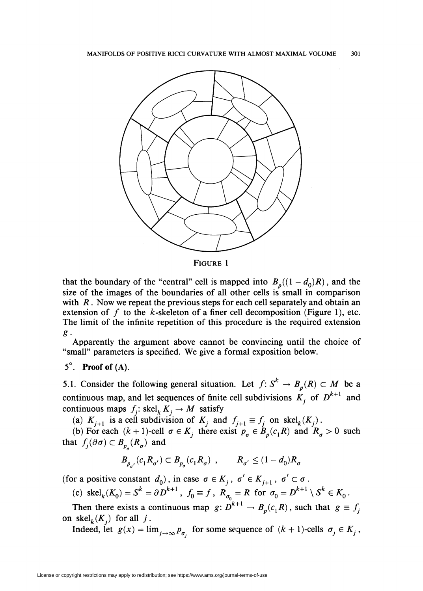

FIGURE 1

that the boundary of the "central" cell is mapped into  $B_p((1-d_0)R)$ , and the size of the images of the boundaries of all other cells is small in comparison with *R*. Now we repeat the previous steps for each cell separately and obtain an extension of  $f$  to the  $k$ -skeleton of a finer cell decomposition (Figure 1), etc. The limit of the infinite repetition of this procedure is the required extension *g.* 

Apparently the argument above cannot be convincing until the choice of "small" parameters is specified. We give a formal exposition below.

# *5°.* **Proof of** (A).

5.1. Consider the following general situation. Let  $f: S^k \to B_p(R) \subset M$  be a continuous map, and let sequences of finite cell subdivisions  $K_j$  of  $D^{k+1}$  and continuous maps  $f_i$ : skel<sub>k</sub>  $K_i \rightarrow M$  satisfy

(a)  $K_{i+1}$  is a cell subdivision of  $K_i$  and  $f_{i+1} \equiv f_i$  on  $\text{skel}_k(K_i)$ .

(b) For each  $(k + 1)$ -cell  $\sigma \in K_j$  there exist  $p_{\sigma} \in B_p(c_1R)$  and  $R_{\sigma} > 0$  such that  $f_j(\partial \sigma) \subset B_{p_a}(R_{\sigma})$  and

$$
B_{p_{\sigma'}}(c_1 R_{\sigma'}) \subset B_{p_{\sigma}}(c_1 R_{\sigma}) , \qquad R_{\sigma'} \le (1 - d_0) R_{\sigma}
$$

(for a positive constant  $d_0$ ), in case  $\sigma \in K_j$ ,  $\sigma' \in K_{j+1}$ ,  $\sigma' \subset \sigma$ .

(c) 
$$
\operatorname{skel}_k(K_0) = S^k = \partial D^{k+1}
$$
,  $f_0 \equiv f$ ,  $R_{\sigma_0} = R$  for  $\sigma_0 = D^{k+1} \setminus S^k \in K_0$ .

Then there exists a continuous map  $g: D^{k+1} \to B_p(c_1R)$ , such that  $g \equiv f_j$ on  $\operatorname{skel}_k(K_i)$  for all j.

Indeed, let  $g(x) = \lim_{j\to\infty} p_{\sigma_j}$  for some sequence of  $(k+1)$ -cells  $\sigma_j \in K_j$ ,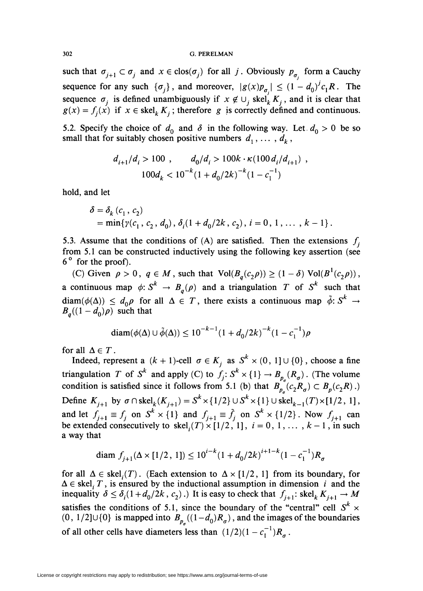such that  $\sigma_{j+1} \subset \sigma_j$  and  $x \in \text{clos}(\sigma_j)$  for all *j*. Obviously  $p_{\sigma_j}$  form a Cauchy sequence for any such  $\{\sigma_i\}$ , and moreover,  $|g(x)p_{\sigma_i}| \leq (1 - d_0)^{j}c_1R$ . The sequence  $\sigma_j$  is defined unambiguously if  $x \notin \bigcup_j \text{skel}_k^{\prime} K_j$ , and it is clear that  $g(x) = f_i(x)$  if  $x \in \text{skel}_k K_i$ ; therefore *g* is correctly defined and continuous.

5.2. Specify the choice of  $d_0$  and  $\delta$  in the following way. Let  $d_0 > 0$  be so small that for suitably chosen positive numbers  $d_1, \ldots, d_k$ ,

$$
d_{i+1}/d_i > 100 , \t d_0/d_i > 100k \cdot \kappa (100 d_i/d_{i+1}),
$$
  

$$
100d_k < 10^{-k} (1 + d_0/2k)^{-k} (1 - c_1^{-1})
$$

hold, and let

$$
\delta = \delta_k (c_1, c_2)
$$
  
= min{ $\gamma(c_1, c_2, d_0)$ ,  $\delta_i(1 + d_0/2k, c_2)$ ,  $i = 0, 1, ..., k - 1$  }.

5.3. Assume that the conditions of (A) are satisfied. Then the extensions  $f_i$ from 5.1 can be constructed inductively using the following key assertion (see  $6^{\circ}$  for the proof).

(C) Given  $\rho > 0$ ,  $q \in M$ , such that  $Vol(B_q(c_2 \rho)) \geq (1-\delta) Vol(B^1(c_2 \rho))$ , a continuous map  $\phi: S^k \to B_q(\rho)$  and a triangulation *T* of  $S^k$  such that  $diam(\phi(\Delta)) \leq d_0 \rho$  for all  $\Delta \in T$ , there exists a continuous map  $\tilde{\phi}$ :  $S^k \to$  $B_q((1 - d_0)\rho)$  such that

$$
\text{diam}(\phi(\Delta) \cup \tilde{\phi}(\Delta)) \le 10^{-k-1} (1 + d_0/2k)^{-k} (1 - c_1^{-1}) \rho
$$

for all  $\Delta \in T$ .

Indeed, represent a  $(k + 1)$ -cell  $\sigma \in K$  as  $S^k \times (0, 1] \cup \{0\}$ , choose a fine triangulation *T* of *S<sup>k</sup>* and apply (C) to  $f_i: S^k \times \{1\} \to B_p(R_q)$ . (The volume condition is satisfied since it follows from 5.1 (b) that  $B_{p}(c_2R_{\sigma}) \subset B_p(c_2R)$ .) Define  $K_{i+1}$  by  $\sigma \cap \text{skel}_k(K_{i+1}) = S^k \times \{1/2\} \cup S^k \times \{1\} \cup \text{skel}_{k-1}(T) \times [1/2, 1],$ and let  $f_{j+1} \equiv f_j$  on  $S^k \times \{1\}$  and  $f_{j+1} \equiv \tilde{f}_j$  on  $S^k \times \{1/2\}$ . Now  $f_{j+1}$  can be extended consecutively to  $\text{skel}_i(T) \times [1/2, 1]$ ,  $i = 0, 1, ..., k - 1$ , in such a way that

$$
\text{diam } f_{j+1}(\Delta \times [1/2, 1]) \le 10^{j-k} (1 + d_0/2k)^{j+1-k} (1 - c_1^{-1}) R_\sigma
$$

for all  $\Delta \in$  skel;(*T*). (Each extension to  $\Delta \times [1/2, 1]$  from its boundary, for  $\Delta \in$  skel<sub>i</sub> *T*, is ensured by the inductional assumption in dimension *i* and the inequality  $\delta \leq \delta_i(1 + d_0/2k, c_2)$ .) It is easy to check that  $f_{i+1}$ : skel<sub>k</sub>  $K_{i+1} \to M$ satisfies the conditions of 5.1, since the boundary of the "central" cell  $S^k$  ×  $(0, 1/2] \cup \{0\}$  is mapped into  $B_{p}(1-d_0)R_{\sigma}$ , and the images of the boundaries of all other cells have diameters less than  $(1/2)(1 - c_1^{-1})R_{\sigma}$ .

License or copyright restrictions may apply to redistribution; see https://www.ams.org/journal-terms-of-use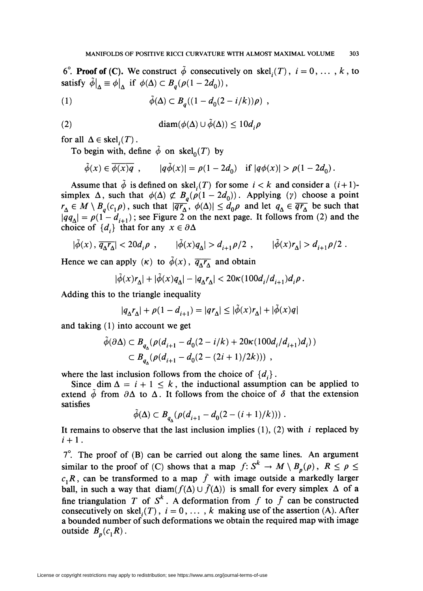6<sup>°</sup>. **Proof of (C).** We construct  $\tilde{\phi}$  consecutively on skel<sub>i</sub>(T),  $i = 0, ..., k$ , to satisfy  $\tilde{\phi}\big|_{\Delta} \equiv \phi\big|_{\Delta}$  if  $\phi(\Delta) \subset B_q(\rho(1-2d_0))$ ,

(1) 
$$
\tilde{\phi}(\Delta) \subset B_q((1 - d_0(2 - i/k))\rho) ,
$$

(2) 
$$
\operatorname{diam}(\phi(\Delta) \cup \tilde{\phi}(\Delta)) \leq 10 d_i \rho
$$

for all  $\Delta \in \text{skel}_{i}(T)$ .

To begin with, define  $\phi$  on skel<sub>0</sub>(T) by

$$
\tilde{\phi}(x) \in \overline{\phi(x)q} \, , \qquad |q\tilde{\phi}(x)| = \rho(1-2d_0) \quad \text{if } |q\phi(x)| > \rho(1-2d_0) \, .
$$

Assume that  $\tilde{\phi}$  is defined on skel, *(T)* for some  $i < k$  and consider a  $(i+1)$ simplex  $\Delta$ , such that  $\phi(\Delta) \not\subset B_q(\rho(1-2d_0))$ . Applying  $(\gamma)$  choose a point  $r_A \in M \setminus B_q(c_1 \rho)$ , such that  $|\overline{qr_A}, \phi(\Delta)| \leq d_0 \rho$  and let  $q_A \in \overline{qr_A}$  be such that  $|qq_{\Delta}| = \rho(1 - d_{i+1})$ ; see Figure 2 on the next page. It follows from (2) and the choice of  $\{d_i\}$  that for any  $x \in \partial \Delta$ 

$$
|\tilde{\phi}(x), \overline{q_{\Delta}r_{\Delta}}| < 20d_i \rho , \qquad |\tilde{\phi}(x)q_{\Delta}| > d_{i+1}\rho/2 , \qquad |\tilde{\phi}(x)r_{\Delta}| > d_{i+1}\rho/2 .
$$

Hence we can apply  $(\kappa)$  to  $\tilde{\phi}(x)$ ,  $\overline{q_A r_A}$  and obtain

$$
|\tilde{\phi}(x)r_{\Delta}|+|\tilde{\phi}(x)q_{\Delta}|-|q_{\Delta}r_{\Delta}|<20\kappa(100d_i/d_{i+1})d_i\rho.
$$

Adding this to the triangle inequality

$$
|q_{\Delta}r_{\Delta}| + \rho(1 - d_{i+1}) = |qr_{\Delta}| \le |\tilde{\phi}(x)r_{\Delta}| + |\tilde{\phi}(x)q|
$$

and taking (I) into account we get

$$
\tilde{\phi}(\partial \Delta) \subset B_{q_{\Delta}}(\rho(d_{i+1} - d_0(2 - i/k) + 20\kappa(100d_i/d_{i+1})d_i))
$$
  

$$
\subset B_{q_{\Delta}}(\rho(d_{i+1} - d_0(2 - (2i+1)/2k))) ,
$$

where the last inclusion follows from the choice of  $\{d_i\}$ .

Since dim  $\Delta = i + 1 \leq k$ , the inductional assumption can be applied to extend  $\phi$  from  $\partial \Delta$  to  $\Delta$ . It follows from the choice of  $\delta$  that the extension satisfies

$$
\tilde{\phi}(\Delta) \subset B_{q_{\lambda}}(\rho(d_{i+1} - d_0(2 - (i+1)/k)))
$$
.

It remains to observe that the last inclusion implies (I), (2) with *i* replaced by  $i + 1$ .

 $7^\circ$ . The proof of (B) can be carried out along the same lines. An argument similar to the proof of (C) shows that a map  $f: S^k \to M \setminus B_n(\rho)$ ,  $R \le \rho \le$  $c_1R$ , can be transformed to a map  $\bar{f}$  with image outside a markedly larger ball, in such a way that diam( $f(\Delta) \cup \bar{f}(\Delta)$ ) is small for every simplex  $\Delta$  of a fine triangulation *T* of  $S^k$ . A deformation from *f* to  $\bar{f}$  can be constructed consecutively on skel,  $(T)$ ,  $i = 0, \ldots, k$  making use of the assertion (A). After a bounded number of such deformations we obtain the required map with image outside  $B_p(c_1R)$ .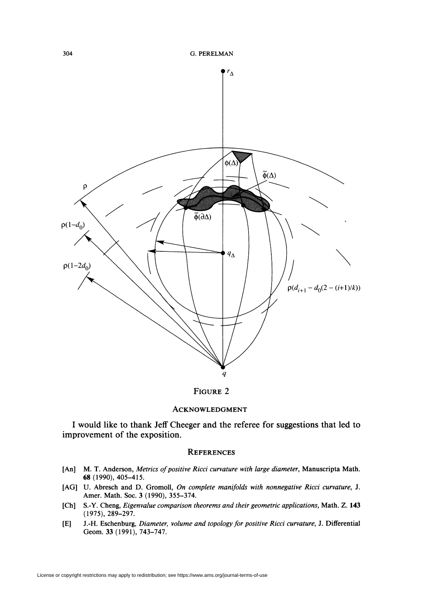

## FIGURE 2

### ACKNOWLEDGMENT

I would like to thank Jeff Cheeger and the referee for suggestions that led to improvement of the exposition.

### **REFERENCES**

- [An] M. T. Anderson, *Metrics of positive Ricci curvature with large diameter*, Manuscripta Math. 68 (1990), 405-415.
- [AG] U. Abresch and D. Gromoll, *On complete manifolds with nonnegative Ricci curvature,* J. Amer. Math. Soc. 3 (1990), 355-374.
- [Ch] S.-Y. Cheng, *Eigenvalue comparison theorems and their geometric applications*, Math. Z. 143 (1975),289-297.
- [E] J.-H. Eschenburg, *Diameter. volume and topology for positive Ricci curvature,* J. Differential Geom. 33 (1991), 743-747.